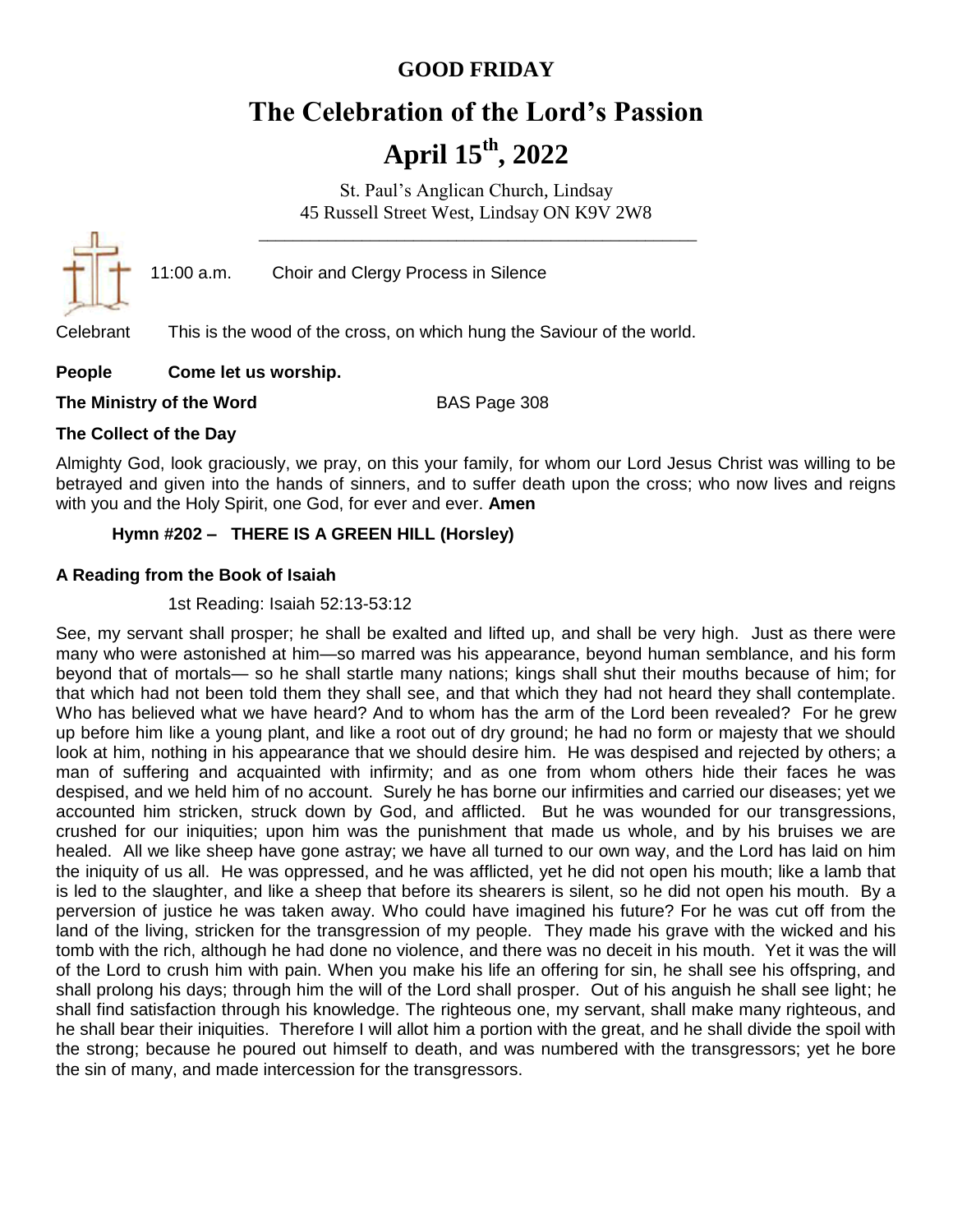# **GOOD FRIDAY**

# **The Celebration of the Lord's Passion April 15th, 2022**

St. Paul's Anglican Church, Lindsay 45 Russell Street West, Lindsay ON K9V 2W8 \_\_\_\_\_\_\_\_\_\_\_\_\_\_\_\_\_\_\_\_\_\_\_\_\_\_\_\_\_\_\_\_\_\_\_\_\_\_\_\_\_\_\_\_\_\_\_\_\_\_\_



11:00 a.m. Choir and Clergy Process in Silence

Celebrant This is the wood of the cross, on which hung the Saviour of the world.

#### **People Come let us worship.**

**The Ministry of the Word** BAS Page 308

#### **The Collect of the Day**

Almighty God, look graciously, we pray, on this your family, for whom our Lord Jesus Christ was willing to be betrayed and given into the hands of sinners, and to suffer death upon the cross; who now lives and reigns with you and the Holy Spirit, one God, for ever and ever. **Amen**

## **Hymn #202 – THERE IS A GREEN HILL (Horsley)**

#### **A Reading from the Book of Isaiah**

#### 1st Reading: Isaiah 52:13-53:12

See, my servant shall prosper; he shall be exalted and lifted up, and shall be very high. Just as there were many who were astonished at him—so marred was his appearance, beyond human semblance, and his form beyond that of mortals— so he shall startle many nations; kings shall shut their mouths because of him; for that which had not been told them they shall see, and that which they had not heard they shall contemplate. Who has believed what we have heard? And to whom has the arm of the Lord been revealed? For he grew up before him like a young plant, and like a root out of dry ground; he had no form or majesty that we should look at him, nothing in his appearance that we should desire him. He was despised and rejected by others; a man of suffering and acquainted with infirmity; and as one from whom others hide their faces he was despised, and we held him of no account. Surely he has borne our infirmities and carried our diseases; yet we accounted him stricken, struck down by God, and afflicted. But he was wounded for our transgressions, crushed for our iniquities; upon him was the punishment that made us whole, and by his bruises we are healed. All we like sheep have gone astray; we have all turned to our own way, and the Lord has laid on him the iniquity of us all. He was oppressed, and he was afflicted, yet he did not open his mouth; like a lamb that is led to the slaughter, and like a sheep that before its shearers is silent, so he did not open his mouth. By a perversion of justice he was taken away. Who could have imagined his future? For he was cut off from the land of the living, stricken for the transgression of my people. They made his grave with the wicked and his tomb with the rich, although he had done no violence, and there was no deceit in his mouth. Yet it was the will of the Lord to crush him with pain. When you make his life an offering for sin, he shall see his offspring, and shall prolong his days; through him the will of the Lord shall prosper. Out of his anguish he shall see light; he shall find satisfaction through his knowledge. The righteous one, my servant, shall make many righteous, and he shall bear their iniquities. Therefore I will allot him a portion with the great, and he shall divide the spoil with the strong; because he poured out himself to death, and was numbered with the transgressors; yet he bore the sin of many, and made intercession for the transgressors.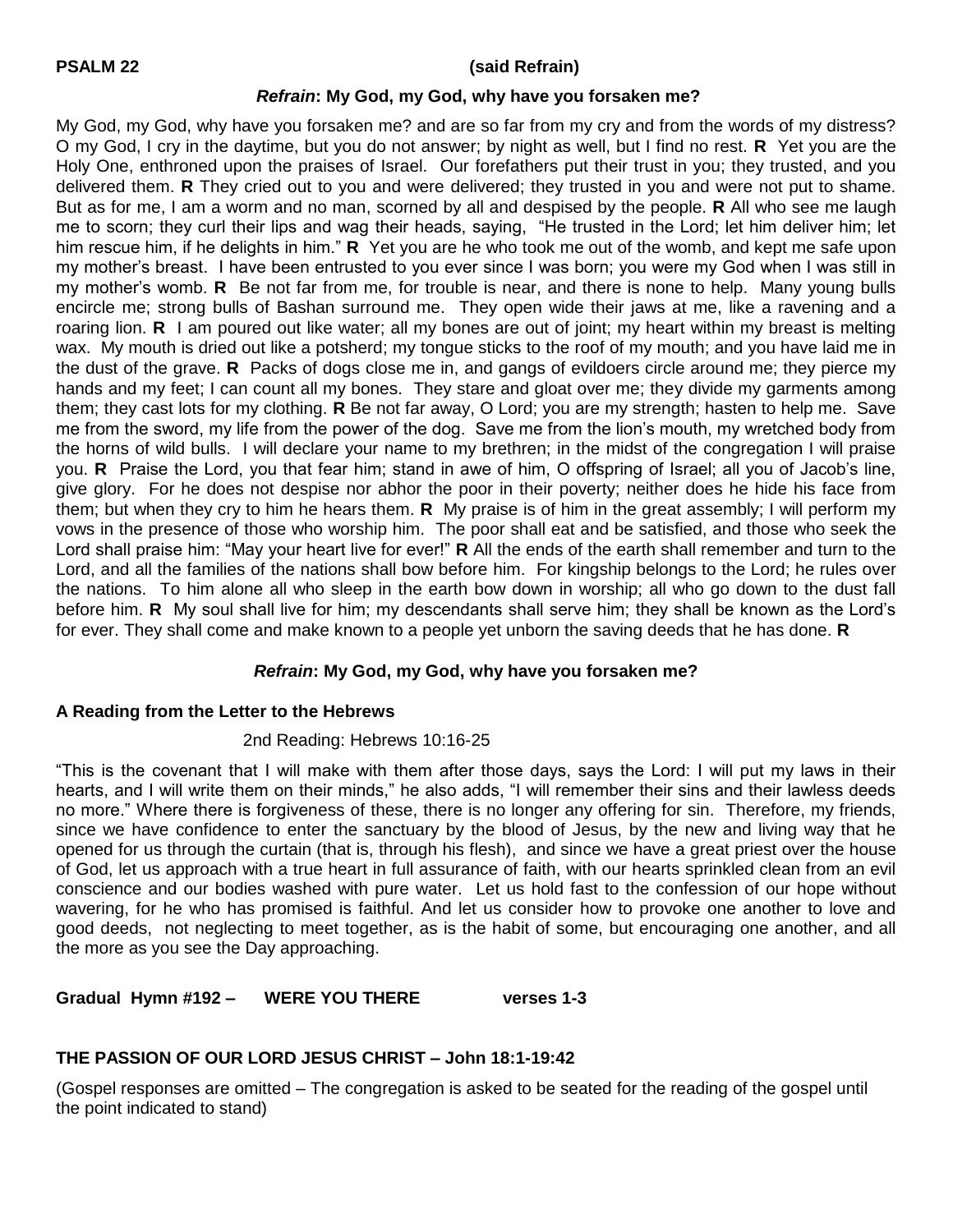#### **PSALM 22 (said Refrain)**

#### *Refrain***: My God, my God, why have you forsaken me?**

My God, my God, why have you forsaken me? and are so far from my cry and from the words of my distress? O my God, I cry in the daytime, but you do not answer; by night as well, but I find no rest. **R** Yet you are the Holy One, enthroned upon the praises of Israel. Our forefathers put their trust in you; they trusted, and you delivered them. **R** They cried out to you and were delivered; they trusted in you and were not put to shame. But as for me, I am a worm and no man, scorned by all and despised by the people. **R** All who see me laugh me to scorn; they curl their lips and wag their heads, saying, "He trusted in the Lord; let him deliver him; let him rescue him, if he delights in him." **R** Yet you are he who took me out of the womb, and kept me safe upon my mother's breast. I have been entrusted to you ever since I was born; you were my God when I was still in my mother's womb. **R** Be not far from me, for trouble is near, and there is none to help. Many young bulls encircle me; strong bulls of Bashan surround me. They open wide their jaws at me, like a ravening and a roaring lion. **R** I am poured out like water; all my bones are out of joint; my heart within my breast is melting wax. My mouth is dried out like a potsherd; my tongue sticks to the roof of my mouth; and you have laid me in the dust of the grave. **R** Packs of dogs close me in, and gangs of evildoers circle around me; they pierce my hands and my feet; I can count all my bones. They stare and gloat over me; they divide my garments among them; they cast lots for my clothing. **R** Be not far away, O Lord; you are my strength; hasten to help me. Save me from the sword, my life from the power of the dog. Save me from the lion's mouth, my wretched body from the horns of wild bulls. I will declare your name to my brethren; in the midst of the congregation I will praise you. **R** Praise the Lord, you that fear him; stand in awe of him, O offspring of Israel; all you of Jacob's line, give glory. For he does not despise nor abhor the poor in their poverty; neither does he hide his face from them; but when they cry to him he hears them. **R** My praise is of him in the great assembly; I will perform my vows in the presence of those who worship him. The poor shall eat and be satisfied, and those who seek the Lord shall praise him: "May your heart live for ever!" **R** All the ends of the earth shall remember and turn to the Lord, and all the families of the nations shall bow before him. For kingship belongs to the Lord; he rules over the nations. To him alone all who sleep in the earth bow down in worship; all who go down to the dust fall before him. **R** My soul shall live for him; my descendants shall serve him; they shall be known as the Lord's for ever. They shall come and make known to a people yet unborn the saving deeds that he has done. **R**

#### *Refrain***: My God, my God, why have you forsaken me?**

#### **A Reading from the Letter to the Hebrews**

#### 2nd Reading: Hebrews 10:16-25

"This is the covenant that I will make with them after those days, says the Lord: I will put my laws in their hearts, and I will write them on their minds," he also adds, "I will remember their sins and their lawless deeds no more." Where there is forgiveness of these, there is no longer any offering for sin. Therefore, my friends, since we have confidence to enter the sanctuary by the blood of Jesus, by the new and living way that he opened for us through the curtain (that is, through his flesh), and since we have a great priest over the house of God, let us approach with a true heart in full assurance of faith, with our hearts sprinkled clean from an evil conscience and our bodies washed with pure water. Let us hold fast to the confession of our hope without wavering, for he who has promised is faithful. And let us consider how to provoke one another to love and good deeds, not neglecting to meet together, as is the habit of some, but encouraging one another, and all the more as you see the Day approaching.

**Gradual Hymn #192 – WERE YOU THERE verses 1-3**

## **THE PASSION OF OUR LORD JESUS CHRIST – John 18:1-19:42**

(Gospel responses are omitted – The congregation is asked to be seated for the reading of the gospel until the point indicated to stand)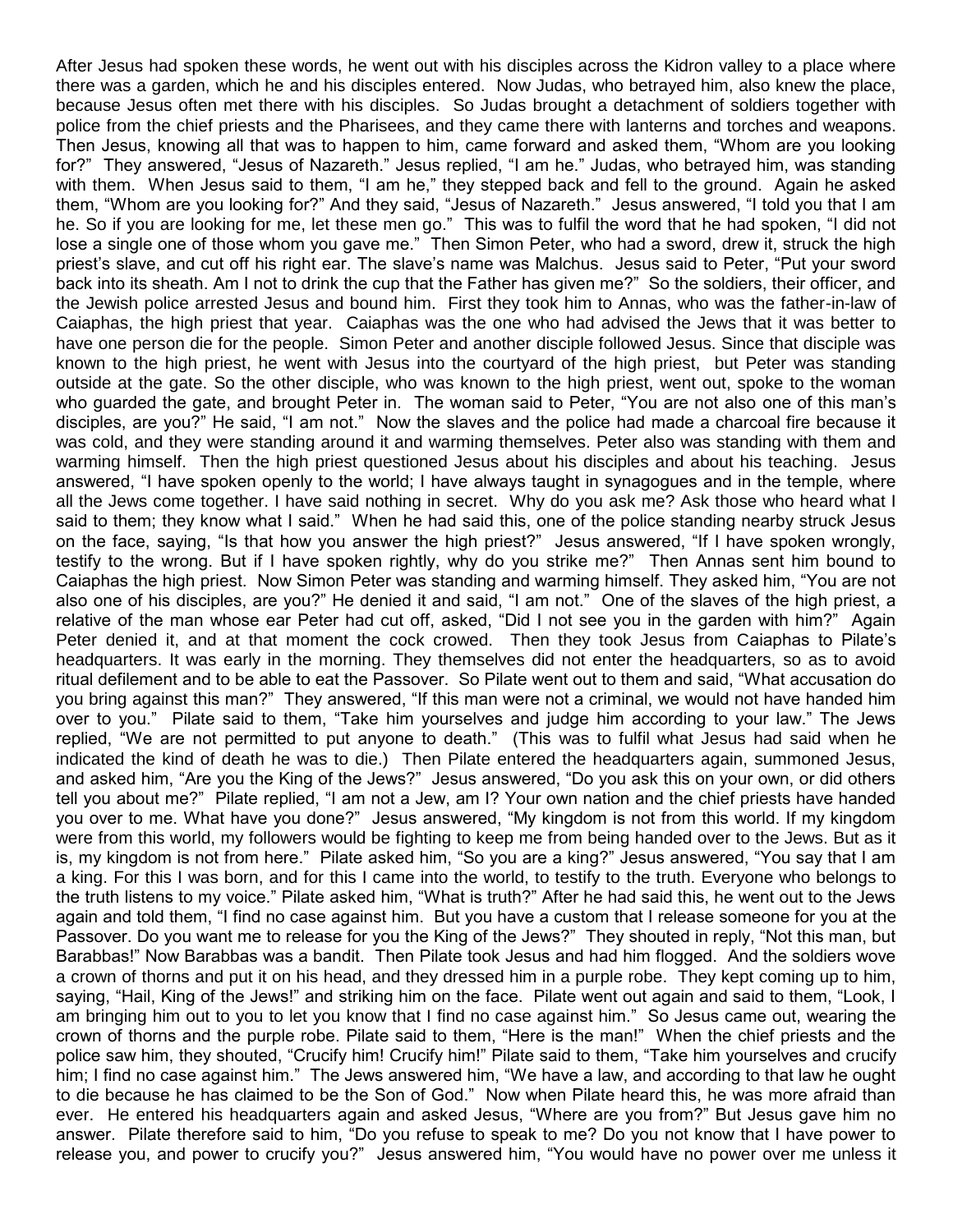After Jesus had spoken these words, he went out with his disciples across the Kidron valley to a place where there was a garden, which he and his disciples entered. Now Judas, who betrayed him, also knew the place, because Jesus often met there with his disciples. So Judas brought a detachment of soldiers together with police from the chief priests and the Pharisees, and they came there with lanterns and torches and weapons. Then Jesus, knowing all that was to happen to him, came forward and asked them, "Whom are you looking for?" They answered, "Jesus of Nazareth." Jesus replied, "I am he." Judas, who betrayed him, was standing with them. When Jesus said to them, "I am he," they stepped back and fell to the ground. Again he asked them, "Whom are you looking for?" And they said, "Jesus of Nazareth." Jesus answered, "I told you that I am he. So if you are looking for me, let these men go." This was to fulfil the word that he had spoken, "I did not lose a single one of those whom you gave me." Then Simon Peter, who had a sword, drew it, struck the high priest's slave, and cut off his right ear. The slave's name was Malchus. Jesus said to Peter, "Put your sword back into its sheath. Am I not to drink the cup that the Father has given me?" So the soldiers, their officer, and the Jewish police arrested Jesus and bound him. First they took him to Annas, who was the father-in-law of Caiaphas, the high priest that year. Caiaphas was the one who had advised the Jews that it was better to have one person die for the people. Simon Peter and another disciple followed Jesus. Since that disciple was known to the high priest, he went with Jesus into the courtyard of the high priest, but Peter was standing outside at the gate. So the other disciple, who was known to the high priest, went out, spoke to the woman who guarded the gate, and brought Peter in. The woman said to Peter, "You are not also one of this man's disciples, are you?" He said, "I am not." Now the slaves and the police had made a charcoal fire because it was cold, and they were standing around it and warming themselves. Peter also was standing with them and warming himself. Then the high priest questioned Jesus about his disciples and about his teaching. Jesus answered, "I have spoken openly to the world; I have always taught in synagogues and in the temple, where all the Jews come together. I have said nothing in secret. Why do you ask me? Ask those who heard what I said to them; they know what I said." When he had said this, one of the police standing nearby struck Jesus on the face, saying, "Is that how you answer the high priest?" Jesus answered, "If I have spoken wrongly, testify to the wrong. But if I have spoken rightly, why do you strike me?" Then Annas sent him bound to Caiaphas the high priest. Now Simon Peter was standing and warming himself. They asked him, "You are not also one of his disciples, are you?" He denied it and said, "I am not." One of the slaves of the high priest, a relative of the man whose ear Peter had cut off, asked, "Did I not see you in the garden with him?" Again Peter denied it, and at that moment the cock crowed. Then they took Jesus from Caiaphas to Pilate's headquarters. It was early in the morning. They themselves did not enter the headquarters, so as to avoid ritual defilement and to be able to eat the Passover. So Pilate went out to them and said, "What accusation do you bring against this man?" They answered, "If this man were not a criminal, we would not have handed him over to you." Pilate said to them, "Take him yourselves and judge him according to your law." The Jews replied, "We are not permitted to put anyone to death." (This was to fulfil what Jesus had said when he indicated the kind of death he was to die.) Then Pilate entered the headquarters again, summoned Jesus, and asked him, "Are you the King of the Jews?" Jesus answered, "Do you ask this on your own, or did others tell you about me?" Pilate replied, "I am not a Jew, am I? Your own nation and the chief priests have handed you over to me. What have you done?" Jesus answered, "My kingdom is not from this world. If my kingdom were from this world, my followers would be fighting to keep me from being handed over to the Jews. But as it is, my kingdom is not from here." Pilate asked him, "So you are a king?" Jesus answered, "You say that I am a king. For this I was born, and for this I came into the world, to testify to the truth. Everyone who belongs to the truth listens to my voice." Pilate asked him, "What is truth?" After he had said this, he went out to the Jews again and told them, "I find no case against him. But you have a custom that I release someone for you at the Passover. Do you want me to release for you the King of the Jews?" They shouted in reply, "Not this man, but Barabbas!" Now Barabbas was a bandit. Then Pilate took Jesus and had him flogged. And the soldiers wove a crown of thorns and put it on his head, and they dressed him in a purple robe. They kept coming up to him, saying, "Hail, King of the Jews!" and striking him on the face. Pilate went out again and said to them, "Look, I am bringing him out to you to let you know that I find no case against him." So Jesus came out, wearing the crown of thorns and the purple robe. Pilate said to them, "Here is the man!" When the chief priests and the police saw him, they shouted, "Crucify him! Crucify him!" Pilate said to them, "Take him yourselves and crucify him; I find no case against him." The Jews answered him, "We have a law, and according to that law he ought to die because he has claimed to be the Son of God." Now when Pilate heard this, he was more afraid than ever. He entered his headquarters again and asked Jesus, "Where are you from?" But Jesus gave him no answer. Pilate therefore said to him, "Do you refuse to speak to me? Do you not know that I have power to release you, and power to crucify you?" Jesus answered him, "You would have no power over me unless it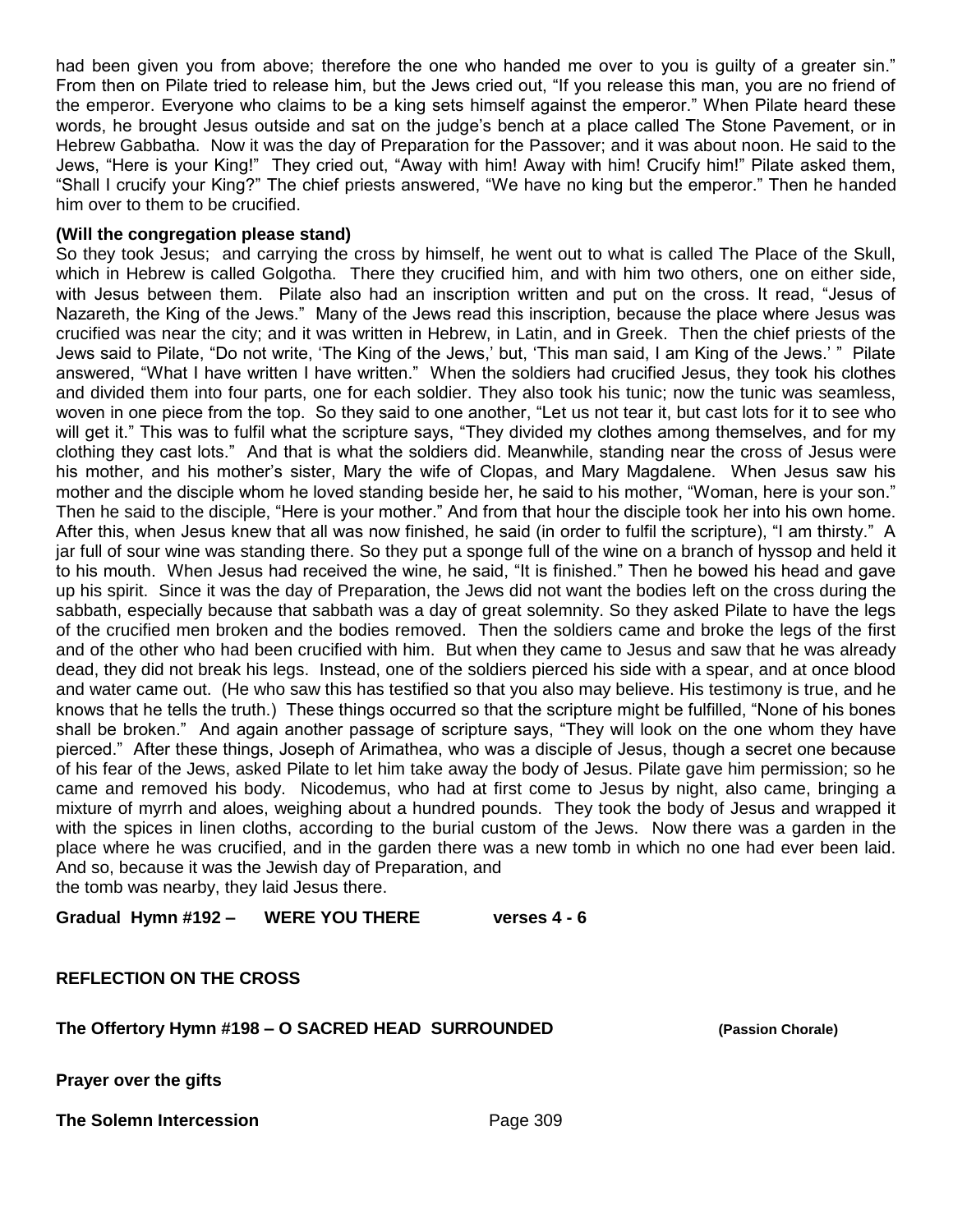had been given you from above; therefore the one who handed me over to you is guilty of a greater sin." From then on Pilate tried to release him, but the Jews cried out, "If you release this man, you are no friend of the emperor. Everyone who claims to be a king sets himself against the emperor." When Pilate heard these words, he brought Jesus outside and sat on the judge's bench at a place called The Stone Pavement, or in Hebrew Gabbatha. Now it was the day of Preparation for the Passover; and it was about noon. He said to the Jews, "Here is your King!" They cried out, "Away with him! Away with him! Crucify him!" Pilate asked them, "Shall I crucify your King?" The chief priests answered, "We have no king but the emperor." Then he handed him over to them to be crucified.

#### **(Will the congregation please stand)**

So they took Jesus; and carrying the cross by himself, he went out to what is called The Place of the Skull, which in Hebrew is called Golgotha. There they crucified him, and with him two others, one on either side, with Jesus between them. Pilate also had an inscription written and put on the cross. It read, "Jesus of Nazareth, the King of the Jews." Many of the Jews read this inscription, because the place where Jesus was crucified was near the city; and it was written in Hebrew, in Latin, and in Greek. Then the chief priests of the Jews said to Pilate, "Do not write, 'The King of the Jews,' but, 'This man said, I am King of the Jews.' " Pilate answered, "What I have written I have written." When the soldiers had crucified Jesus, they took his clothes and divided them into four parts, one for each soldier. They also took his tunic; now the tunic was seamless, woven in one piece from the top. So they said to one another, "Let us not tear it, but cast lots for it to see who will get it." This was to fulfil what the scripture says, "They divided my clothes among themselves, and for my clothing they cast lots." And that is what the soldiers did. Meanwhile, standing near the cross of Jesus were his mother, and his mother's sister, Mary the wife of Clopas, and Mary Magdalene. When Jesus saw his mother and the disciple whom he loved standing beside her, he said to his mother, "Woman, here is your son." Then he said to the disciple, "Here is your mother." And from that hour the disciple took her into his own home. After this, when Jesus knew that all was now finished, he said (in order to fulfil the scripture), "I am thirsty." A jar full of sour wine was standing there. So they put a sponge full of the wine on a branch of hyssop and held it to his mouth. When Jesus had received the wine, he said, "It is finished." Then he bowed his head and gave up his spirit. Since it was the day of Preparation, the Jews did not want the bodies left on the cross during the sabbath, especially because that sabbath was a day of great solemnity. So they asked Pilate to have the legs of the crucified men broken and the bodies removed. Then the soldiers came and broke the legs of the first and of the other who had been crucified with him. But when they came to Jesus and saw that he was already dead, they did not break his legs. Instead, one of the soldiers pierced his side with a spear, and at once blood and water came out. (He who saw this has testified so that you also may believe. His testimony is true, and he knows that he tells the truth.) These things occurred so that the scripture might be fulfilled, "None of his bones shall be broken." And again another passage of scripture says, "They will look on the one whom they have pierced." After these things, Joseph of Arimathea, who was a disciple of Jesus, though a secret one because of his fear of the Jews, asked Pilate to let him take away the body of Jesus. Pilate gave him permission; so he came and removed his body. Nicodemus, who had at first come to Jesus by night, also came, bringing a mixture of myrrh and aloes, weighing about a hundred pounds. They took the body of Jesus and wrapped it with the spices in linen cloths, according to the burial custom of the Jews. Now there was a garden in the place where he was crucified, and in the garden there was a new tomb in which no one had ever been laid. And so, because it was the Jewish day of Preparation, and

the tomb was nearby, they laid Jesus there.

**Gradual Hymn #192 – WERE YOU THERE verses 4 - 6**

**REFLECTION ON THE CROSS**

**The Offertory Hymn #198 – O SACRED HEAD SURROUNDED (Passion Chorale)**

**Prayer over the gifts**

**The Solemn Intercession** Page 309